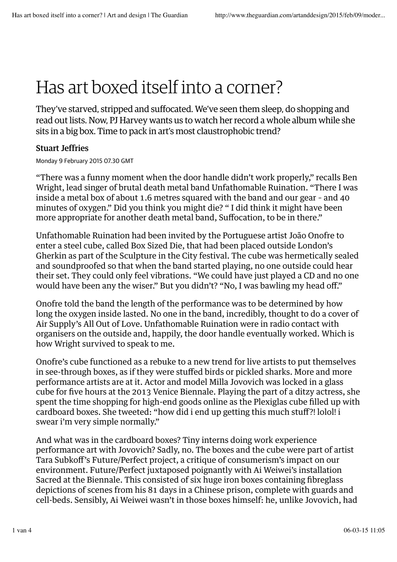## Has art boxed itself into a corner?

They've starved, stripped and suffocated. We've seen them sleep, do shopping and read out lists. Now, PJ Harvey wants us to watch her record a whole album while she sits in a big box. Time to pack in art's most claustrophobic trend?

## Stuart Jeffries

Monday 9 February 2015 07.30 GMT

"There was a funny moment when the door handle didn't work properly," recalls Ben Wright, lead singer of brutal death metal band Unfathomable Ruination. "There I was inside a metal box of about 1.6 metres squared with the band and our gear – and 40 minutes of oxygen." Did you think you might die? " I did think it might have been more appropriate for another death metal band, Suffocation, to be in there."

Unfathomable Ruination had been invited by the Portuguese artist João Onofre to enter a steel cube, called Box Sized Die, that had been placed outside London's Gherkin as part of the Sculpture in the City festival. The cube was hermetically sealed and soundproofed so that when the band started playing, no one outside could hear their set. They could only feel vibrations. "We could have just played a CD and no one would have been any the wiser." But you didn't? "No, I was bawling my head off."

Onofre told the band the length of the performance was to be determined by how long the oxygen inside lasted. No one in the band, incredibly, thought to do a cover of Air Supply's All Out of Love. Unfathomable Ruination were in radio contact with organisers on the outside and, happily, the door handle eventually worked. Which is how Wright survived to speak to me.

Onofre's cube functioned as a rebuke to a new trend for live artists to put themselves in see-through boxes, as if they were stuffed birds or pickled sharks. More and more performance artists are at it. Actor and model Milla Jovovich was locked in a glass cube for five hours at the 2013 Venice Biennale. Playing the part of a ditzy actress, she spent the time shopping for high-end goods online as the Plexiglas cube filled up with cardboard boxes. She tweeted: "how did i end up getting this much stuff?! lolol! i swear i'm very simple normally."

And what was in the cardboard boxes? Tiny interns doing work experience performance art with Jovovich? Sadly, no. The boxes and the cube were part of artist Tara Subkoff's Future/Perfect project, a critique of consumerism's impact on our environment. Future/Perfect juxtaposed poignantly with Ai Weiwei's installation Sacred at the Biennale. This consisted of six huge iron boxes containing fibreglass depictions of scenes from his 81 days in a Chinese prison, complete with guards and cell-beds. Sensibly, Ai Weiwei wasn't in those boxes himself: he, unlike Jovovich, had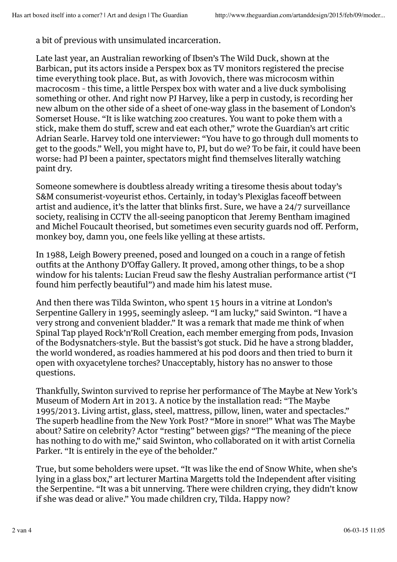a bit of previous with unsimulated incarceration.

Late last year, an Australian reworking of Ibsen's The Wild Duck, shown at the Barbican, put its actors inside a Perspex box as TV monitors registered the precise time everything took place. But, as with Jovovich, there was microcosm within macrocosm – this time, a little Perspex box with water and a live duck symbolising something or other. And right now PJ Harvey, like a perp in custody, is recording her new album on the other side of a sheet of one-way glass in the basement of London's Somerset House. "It is like watching zoo creatures. You want to poke them with a stick, make them do stuff, screw and eat each other," wrote the Guardian's art critic Adrian Searle. Harvey told one interviewer: "You have to go through dull moments to get to the goods." Well, you might have to, PJ, but do we? To be fair, it could have been worse: had PJ been a painter, spectators might find themselves literally watching paint dry.

Someone somewhere is doubtless already writing a tiresome thesis about today's S&M consumerist-voyeurist ethos. Certainly, in today's Plexiglas faceoff between artist and audience, it's the latter that blinks first. Sure, we have a 24/7 surveillance society, realising in CCTV the all-seeing panopticon that Jeremy Bentham imagined and Michel Foucault theorised, but sometimes even security guards nod off. Perform, monkey boy, damn you, one feels like yelling at these artists.

In 1988, Leigh Bowery preened, posed and lounged on a couch in a range of fetish outfits at the Anthony D'Offay Gallery. It proved, among other things, to be a shop window for his talents: Lucian Freud saw the fleshy Australian performance artist ("I found him perfectly beautiful") and made him his latest muse.

And then there was Tilda Swinton, who spent 15 hours in a vitrine at London's Serpentine Gallery in 1995, seemingly asleep. "I am lucky," said Swinton. "I have a very strong and convenient bladder." It was a remark that made me think of when Spinal Tap played Rock'n'Roll Creation, each member emerging from pods, Invasion of the Bodysnatchers-style. But the bassist's got stuck. Did he have a strong bladder, the world wondered, as roadies hammered at his pod doors and then tried to burn it open with oxyacetylene torches? Unacceptably, history has no answer to those questions.

Thankfully, Swinton survived to reprise her performance of The Maybe at New York's Museum of Modern Art in 2013. A notice by the installation read: "The Maybe 1995/2013. Living artist, glass, steel, mattress, pillow, linen, water and spectacles." The superb headline from the New York Post? "More in snore!" What was The Maybe about? Satire on celebrity? Actor "resting" between gigs? "The meaning of the piece has nothing to do with me," said Swinton, who collaborated on it with artist Cornelia Parker. "It is entirely in the eye of the beholder."

True, but some beholders were upset. "It was like the end of Snow White, when she's lying in a glass box," art lecturer Martina Margetts told the Independent after visiting the Serpentine. "It was a bit unnerving. There were children crying, they didn't know if she was dead or alive." You made children cry, Tilda. Happy now?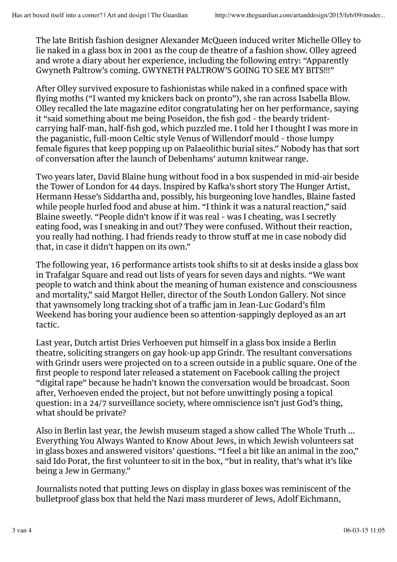The late British fashion designer Alexander McQueen induced writer Michelle Olley to lie naked in a glass box in 2001 as the coup de theatre of a fashion show. Olley agreed and wrote a diary about her experience, including the following entry: "Apparently Gwyneth Paltrow's coming. GWYNETH PALTROW'S GOING TO SEE MY BITS!!!"

After Olley survived exposure to fashionistas while naked in a confined space with flying moths ("I wanted my knickers back on pronto"), she ran across Isabella Blow. Olley recalled the late magazine editor congratulating her on her performance, saying it "said something about me being Poseidon, the fish god – the beardy tridentcarrying half-man, half-fish god, which puzzled me. I told her I thought I was more in the paganistic, full-moon Celtic style Venus of Willendorf mould – those lumpy female figures that keep popping up on Palaeolithic burial sites." Nobody has that sort of conversation after the launch of Debenhams' autumn knitwear range.

Two years later, David Blaine hung without food in a box suspended in mid-air beside the Tower of London for 44 days. Inspired by Kafka's short story The Hunger Artist, Hermann Hesse's Siddartha and, possibly, his burgeoning love handles, Blaine fasted while people hurled food and abuse at him. "I think it was a natural reaction," said Blaine sweetly. "People didn't know if it was real – was I cheating, was I secretly eating food, was I sneaking in and out? They were confused. Without their reaction, you really had nothing. I had friends ready to throw stuff at me in case nobody did that, in case it didn't happen on its own."

The following year, 16 performance artists took shifts to sit at desks inside a glass box in Trafalgar Square and read out lists of years for seven days and nights. "We want people to watch and think about the meaning of human existence and consciousness and mortality," said Margot Heller, director of the South London Gallery. Not since that yawnsomely long tracking shot of a traffic jam in Jean-Luc Godard's film Weekend has boring your audience been so attention-sappingly deployed as an art tactic.

Last year, Dutch artist Dries Verhoeven put himself in a glass box inside a Berlin theatre, soliciting strangers on gay hook-up app Grindr. The resultant conversations with Grindr users were projected on to a screen outside in a public square. One of the first people to respond later released a statement on Facebook calling the project "digital rape" because he hadn't known the conversation would be broadcast. Soon after, Verhoeven ended the project, but not before unwittingly posing a topical question: in a 24/7 surveillance society, where omniscience isn't just God's thing, what should be private?

Also in Berlin last year, the Jewish museum staged a show called The Whole Truth … Everything You Always Wanted to Know About Jews, in which Jewish volunteers sat in glass boxes and answered visitors' questions. "I feel a bit like an animal in the zoo," said Ido Porat, the first volunteer to sit in the box, "but in reality, that's what it's like being a Jew in Germany."

Journalists noted that putting Jews on display in glass boxes was reminiscent of the bulletproof glass box that held the Nazi mass murderer of Jews, Adolf Eichmann,